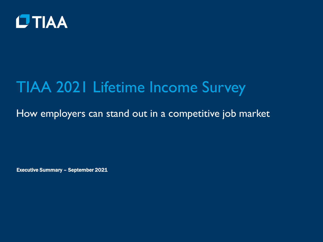

# TIAA 2021 Lifetime Income Survey

How employers can stand out in a competitive job market

Executive Summary – September 2021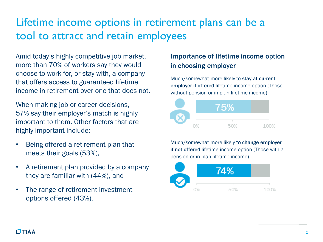### Lifetime income options in retirement plans can be a tool to attract and retain employees

Amid today's highly competitive job market, more than 70% of workers say they would choose to work for, or stay with, a company that offers access to guaranteed lifetime income in retirement over one that does not.

When making job or career decisions. 57% say their employer's match is highly important to them. Other factors that are highly important include:

- Being offered a retirement plan that meets their goals (53%),
- A retirement plan provided by a company they are familiar with (44%), and
- The range of retirement investment options offered (43%).

#### Importance of lifetime income option in choosing employer

Much/somewhat more likely to stay at current employer if offered lifetime income option (Those without pension or in-plan lifetime income)



Much/somewhat more likely to change employer if not offered lifetime income option (Those with a pension or in-plan lifetime income)

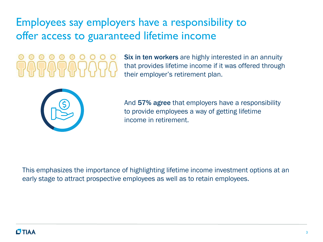Employees say employers have a responsibility to offer access to guaranteed lifetime income

Six in ten workers are highly interested in an annuity that provides lifetime income if it was offered through their employer's retirement plan.



And 57% agree that employers have a responsibility to provide employees a way of getting lifetime income in retirement.

This emphasizes the importance of highlighting lifetime income investment options at an early stage to attract prospective employees as well as to retain employees.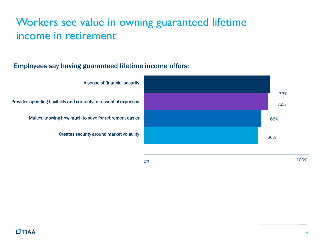### Workers see value in owning guaranteed lifetime income in retirement

#### Employees say having guaranteed lifetime income offers:



 $0\%$  100%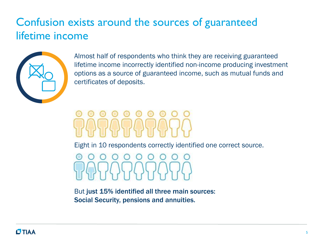### Confusion exists around the sources of guaranteed lifetime income



Almost half of respondents who think they are receiving guaranteed lifetime income incorrectly identified non-income producing investment options as a source of guaranteed income, such as mutual funds and certificates of deposits.

Eight in 10 respondents correctly identified one correct source.

But just 15% identified all three main sources: Social Security, pensions and annuities.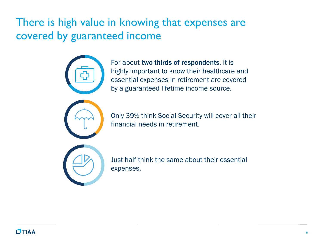### There is high value in knowing that expenses are covered by guaranteed income



For about two-thirds of respondents, it is highly important to know their healthcare and essential expenses in retirement are covered by a guaranteed lifetime income source.



Only 39% think Social Security will cover all their financial needs in retirement.



Just half think the same about their essential expenses.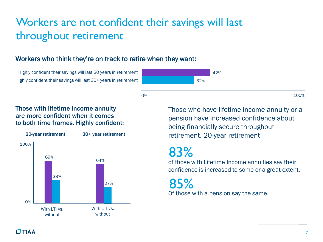### Workers are not confident their savings will last throughout retirement

#### Workers who think they're on track to retire when they want:

Highly confident their savings will last 20 years in retirement Highly confident their savings will last 30+ years in retirement

0% and 100% and 100% and 100% and 100% and 100% and 100% and 100% and 100% and 100% and 100% and 100% and 100%

#### Those with lifetime income annuity are more confident when it comes to both time frames. Highly confident:



Those who have lifetime income annuity or a pension have increased confidence about being financially secure throughout retirement. 20-year retirement

## 83%

of those with Lifetime Income annuities say their confidence is increased to some or a great extent.

Of those with a pension say the same. 85%

42%

32%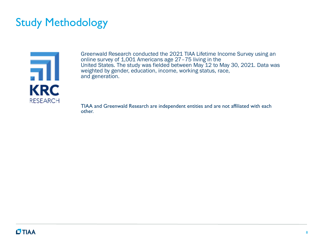### Study Methodology



Greenwald Research conducted the 2021 TIAA Lifetime Income Survey using an online survey of 1,001 Americans age 27–75 living in the United States. The study was fielded between May 12 to May 30, 2021. Data was weighted by gender, education, income, working status, race, and generation.

TIAA and Greenwald Research are independent entities and are not affiliated with each other.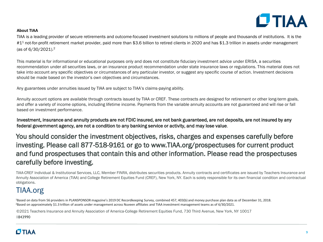

#### **About TIAA**

TIAA is a leading provider of secure retirements and outcome-focused investment solutions to millions of people and thousands of institutions. It is the #1<sup>1</sup> not-for-profit retirement market provider, paid more than \$3.6 billion to retired clients in 2020 and has \$1.3 trillion in assets under management (as of 6/30/2021).<sup>2</sup>

This material is for informational or educational purposes only and does not constitute fiduciary investment advice under ERISA, a securities recommendation under all securities laws, or an insurance product recommendation under state insurance laws or regulations. This material does not take into account any specific objectives or circumstances of any particular investor, or suggest any specific course of action. Investment decisions should be made based on the investor's own objectives and circumstances.

Any guarantees under annuities issued by TIAA are subject to TIAA's claims-paying ability.

Annuity account options are available through contracts issued by TIAA or CREF. These contracts are designed for retirement or other long-term goals, and offer a variety of income options, including lifetime income. Payments from the variable annuity accounts are not guaranteed and will rise or fall based on investment performance.

Investment, insurance and annuity products are not FDIC insured, are not bank guaranteed, are not deposits, are not insured by any federal government agency, are not a condition to any banking service or activity, and may lose value.

You should consider the investment objectives, risks, charges and expenses carefully before investing. Please call 877-518-9161 or go to www.TIAA.org/prospectuses for current product and fund prospectuses that contain this and other information. Please read the prospectuses carefully before investing.

TIAA-CREF Individual & Institutional Services, LLC, Member FINRA, distributes securities products. Annuity contracts and certificates are issued by Teachers Insurance and Annuity Association of America (TIAA) and College Retirement Equities Fund (CREF), New York, NY. Each is solely responsible for its own financial condition and contractual obligations.

#### TIAA.org

<sup>1</sup>Based on data from 56 providers in PLANSPONSOR magazine's 2019 DC Recordkeeping Survey, combined 457, 403(b) and money purchase plan data as of December 31, 2018. <sup>2</sup>Based on approximately \$1.3 trillion of assets under management across Nuveen affiliates and TIAA investment management teams as of 6/30/2021.

©2021 Teachers Insurance and Annuity Association of America-College Retirement Equities Fund, 730 Third Avenue, New York, NY 10017 1843990